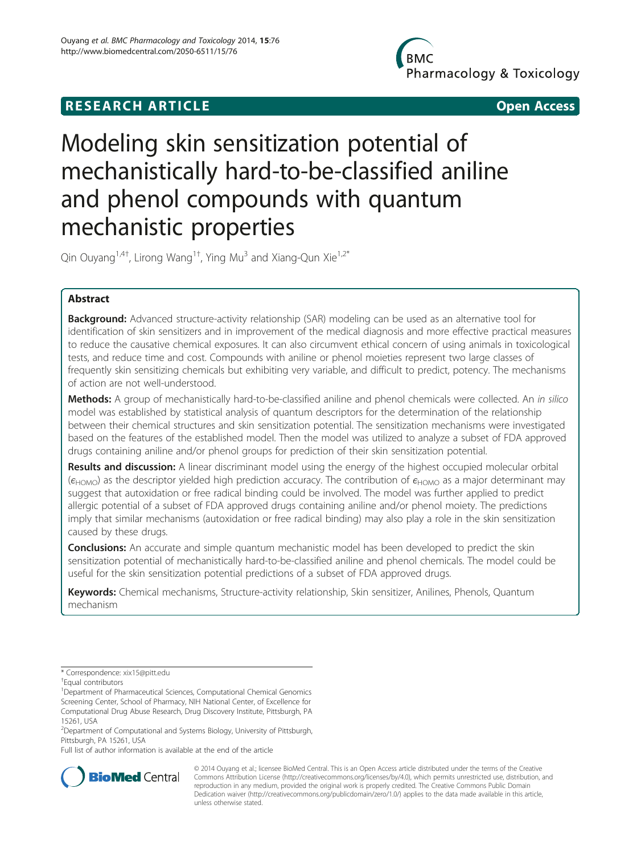## **RESEARCH ARTICLE CONSUMING A RESEARCH ARTICLE**

Pharmacology & Toxicology

# Modeling skin sensitization potential of mechanistically hard-to-be-classified aniline and phenol compounds with quantum mechanistic properties

Qin Ouyang<sup>1,4†</sup>, Lirong Wang<sup>1†</sup>, Ying Mu<sup>3</sup> and Xiang-Qun Xie<sup>1,2\*</sup>

### Abstract

**Background:** Advanced structure-activity relationship (SAR) modeling can be used as an alternative tool for identification of skin sensitizers and in improvement of the medical diagnosis and more effective practical measures to reduce the causative chemical exposures. It can also circumvent ethical concern of using animals in toxicological tests, and reduce time and cost. Compounds with aniline or phenol moieties represent two large classes of frequently skin sensitizing chemicals but exhibiting very variable, and difficult to predict, potency. The mechanisms of action are not well-understood.

Methods: A group of mechanistically hard-to-be-classified aniline and phenol chemicals were collected. An in silico model was established by statistical analysis of quantum descriptors for the determination of the relationship between their chemical structures and skin sensitization potential. The sensitization mechanisms were investigated based on the features of the established model. Then the model was utilized to analyze a subset of FDA approved drugs containing aniline and/or phenol groups for prediction of their skin sensitization potential.

Results and discussion: A linear discriminant model using the energy of the highest occupied molecular orbital  $(\epsilon_{HOMO})$  as the descriptor yielded high prediction accuracy. The contribution of  $\epsilon_{HOMO}$  as a major determinant may suggest that autoxidation or free radical binding could be involved. The model was further applied to predict allergic potential of a subset of FDA approved drugs containing aniline and/or phenol moiety. The predictions imply that similar mechanisms (autoxidation or free radical binding) may also play a role in the skin sensitization caused by these drugs.

**Conclusions:** An accurate and simple quantum mechanistic model has been developed to predict the skin sensitization potential of mechanistically hard-to-be-classified aniline and phenol chemicals. The model could be useful for the skin sensitization potential predictions of a subset of FDA approved drugs.

Keywords: Chemical mechanisms, Structure-activity relationship, Skin sensitizer, Anilines, Phenols, Quantum mechanism

Full list of author information is available at the end of the article



© 2014 Ouyang et al.; licensee BioMed Central. This is an Open Access article distributed under the terms of the Creative Commons Attribution License [\(http://creativecommons.org/licenses/by/4.0\)](http://creativecommons.org/licenses/by/4.0), which permits unrestricted use, distribution, and reproduction in any medium, provided the original work is properly credited. The Creative Commons Public Domain Dedication waiver [\(http://creativecommons.org/publicdomain/zero/1.0/](http://creativecommons.org/publicdomain/zero/1.0/)) applies to the data made available in this article, unless otherwise stated.

<sup>\*</sup> Correspondence: [xix15@pitt.edu](mailto:xix15@pitt.edu) †

Equal contributors

<sup>&</sup>lt;sup>1</sup>Department of Pharmaceutical Sciences, Computational Chemical Genomics Screening Center, School of Pharmacy, NIH National Center, of Excellence for Computational Drug Abuse Research, Drug Discovery Institute, Pittsburgh, PA 15261, USA

<sup>&</sup>lt;sup>2</sup>Department of Computational and Systems Biology, University of Pittsburgh, Pittsburgh, PA 15261, USA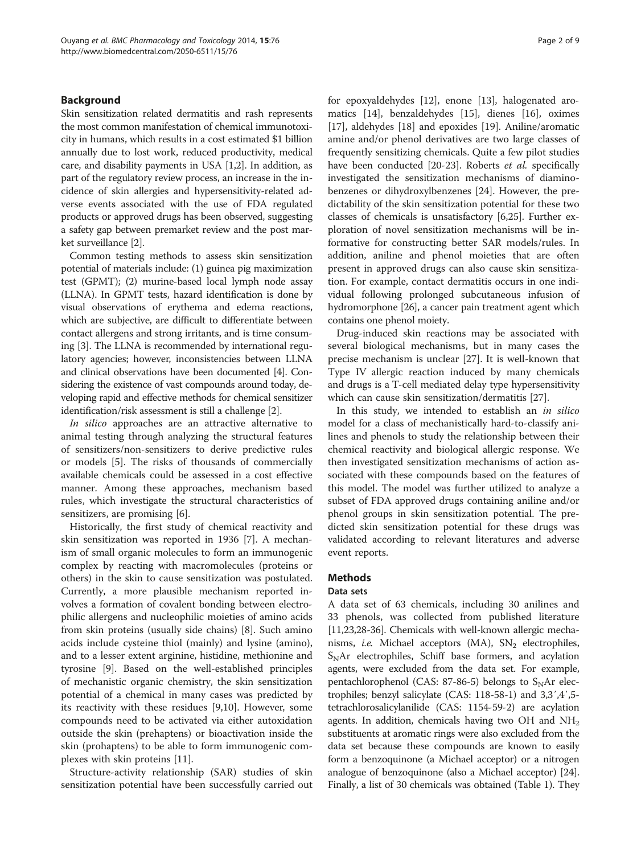#### Background

Skin sensitization related dermatitis and rash represents the most common manifestation of chemical immunotoxicity in humans, which results in a cost estimated \$1 billion annually due to lost work, reduced productivity, medical care, and disability payments in USA [[1,2](#page-7-0)]. In addition, as part of the regulatory review process, an increase in the incidence of skin allergies and hypersensitivity-related adverse events associated with the use of FDA regulated products or approved drugs has been observed, suggesting a safety gap between premarket review and the post market surveillance [\[2](#page-7-0)].

Common testing methods to assess skin sensitization potential of materials include: (1) guinea pig maximization test (GPMT); (2) murine-based local lymph node assay (LLNA). In GPMT tests, hazard identification is done by visual observations of erythema and edema reactions, which are subjective, are difficult to differentiate between contact allergens and strong irritants, and is time consuming [[3\]](#page-7-0). The LLNA is recommended by international regulatory agencies; however, inconsistencies between LLNA and clinical observations have been documented [\[4\]](#page-7-0). Considering the existence of vast compounds around today, developing rapid and effective methods for chemical sensitizer identification/risk assessment is still a challenge [\[2\]](#page-7-0).

In silico approaches are an attractive alternative to animal testing through analyzing the structural features of sensitizers/non-sensitizers to derive predictive rules or models [[5\]](#page-7-0). The risks of thousands of commercially available chemicals could be assessed in a cost effective manner. Among these approaches, mechanism based rules, which investigate the structural characteristics of sensitizers, are promising [[6](#page-7-0)].

Historically, the first study of chemical reactivity and skin sensitization was reported in 1936 [\[7](#page-7-0)]. A mechanism of small organic molecules to form an immunogenic complex by reacting with macromolecules (proteins or others) in the skin to cause sensitization was postulated. Currently, a more plausible mechanism reported involves a formation of covalent bonding between electrophilic allergens and nucleophilic moieties of amino acids from skin proteins (usually side chains) [[8](#page-7-0)]. Such amino acids include cysteine thiol (mainly) and lysine (amino), and to a lesser extent arginine, histidine, methionine and tyrosine [\[9](#page-7-0)]. Based on the well-established principles of mechanistic organic chemistry, the skin sensitization potential of a chemical in many cases was predicted by its reactivity with these residues [\[9,10](#page-7-0)]. However, some compounds need to be activated via either autoxidation outside the skin (prehaptens) or bioactivation inside the skin (prohaptens) to be able to form immunogenic complexes with skin proteins [[11\]](#page-7-0).

Structure-activity relationship (SAR) studies of skin sensitization potential have been successfully carried out for epoxyaldehydes [[12](#page-7-0)], enone [\[13\]](#page-7-0), halogenated aromatics [[14\]](#page-7-0), benzaldehydes [\[15\]](#page-7-0), dienes [\[16\]](#page-7-0), oximes [[17\]](#page-7-0), aldehydes [\[18\]](#page-7-0) and epoxides [\[19](#page-7-0)]. Aniline/aromatic amine and/or phenol derivatives are two large classes of frequently sensitizing chemicals. Quite a few pilot studies have been conducted [[20-23\]](#page-7-0). Roberts et al. specifically investigated the sensitization mechanisms of diaminobenzenes or dihydroxylbenzenes [[24\]](#page-7-0). However, the predictability of the skin sensitization potential for these two classes of chemicals is unsatisfactory [\[6,25](#page-7-0)]. Further exploration of novel sensitization mechanisms will be informative for constructing better SAR models/rules. In addition, aniline and phenol moieties that are often present in approved drugs can also cause skin sensitization. For example, contact dermatitis occurs in one individual following prolonged subcutaneous infusion of hydromorphone [\[26\]](#page-7-0), a cancer pain treatment agent which contains one phenol moiety.

Drug-induced skin reactions may be associated with several biological mechanisms, but in many cases the precise mechanism is unclear [\[27](#page-7-0)]. It is well-known that Type IV allergic reaction induced by many chemicals and drugs is a T-cell mediated delay type hypersensitivity which can cause skin sensitization/dermatitis [[27](#page-7-0)].

In this study, we intended to establish an in silico model for a class of mechanistically hard-to-classify anilines and phenols to study the relationship between their chemical reactivity and biological allergic response. We then investigated sensitization mechanisms of action associated with these compounds based on the features of this model. The model was further utilized to analyze a subset of FDA approved drugs containing aniline and/or phenol groups in skin sensitization potential. The predicted skin sensitization potential for these drugs was validated according to relevant literatures and adverse event reports.

#### Methods

#### Data sets

A data set of 63 chemicals, including 30 anilines and 33 phenols, was collected from published literature [[11,23,28-36\]](#page-7-0). Chemicals with well-known allergic mechanisms, *i.e.* Michael acceptors (MA),  $SN_2$  electrophiles,  $S_N$ Ar electrophiles, Schiff base formers, and acylation agents, were excluded from the data set. For example, pentachlorophenol (CAS: 87-86-5) belongs to  $S_N$ Ar electrophiles; benzyl salicylate (CAS: 118-58-1) and 3,3′,4′,5 tetrachlorosalicylanilide (CAS: 1154-59-2) are acylation agents. In addition, chemicals having two OH and  $NH<sub>2</sub>$ substituents at aromatic rings were also excluded from the data set because these compounds are known to easily form a benzoquinone (a Michael acceptor) or a nitrogen analogue of benzoquinone (also a Michael acceptor) [[24](#page-7-0)]. Finally, a list of 30 chemicals was obtained (Table [1](#page-2-0)). They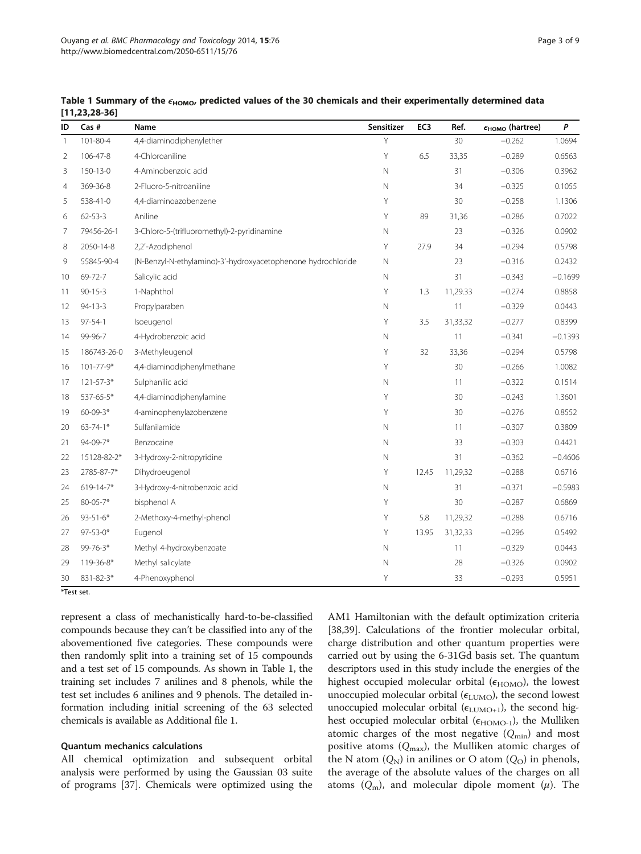| ID           | $Cas$ #         | Name                                                         | Sensitizer | EC <sub>3</sub> | Ref.     | $\epsilon_{\rm HOMO}$ (hartree) | P         |
|--------------|-----------------|--------------------------------------------------------------|------------|-----------------|----------|---------------------------------|-----------|
| $\mathbf{1}$ | 101-80-4        | 4,4-diaminodiphenylether                                     | Υ          |                 | 30       | $-0.262$                        | 1.0694    |
| 2            | 106-47-8        | 4-Chloroaniline                                              | Y          | 6.5             | 33,35    | $-0.289$                        | 0.6563    |
| 3            | 150-13-0        | 4-Aminobenzoic acid                                          | N          |                 | 31       | $-0.306$                        | 0.3962    |
| 4            | 369-36-8        | 2-Fluoro-5-nitroaniline                                      | N          |                 | 34       | $-0.325$                        | 0.1055    |
| 5            | 538-41-0        | 4,4-diaminoazobenzene                                        | Y          |                 | 30       | $-0.258$                        | 1.1306    |
| 6            | $62 - 53 - 3$   | Aniline                                                      | Υ          | 89              | 31,36    | $-0.286$                        | 0.7022    |
| 7            | 79456-26-1      | 3-Chloro-5-(trifluoromethyl)-2-pyridinamine                  | Ν          |                 | 23       | $-0.326$                        | 0.0902    |
| 8            | 2050-14-8       | 2,2'-Azodiphenol                                             | Y          | 27.9            | 34       | $-0.294$                        | 0.5798    |
| 9            | 55845-90-4      | (N-Benzyl-N-ethylamino)-3'-hydroxyacetophenone hydrochloride | Ν          |                 | 23       | $-0.316$                        | 0.2432    |
| 10           | 69-72-7         | Salicylic acid                                               | N          |                 | 31       | $-0.343$                        | $-0.1699$ |
| 11           | $90 - 15 - 3$   | 1-Naphthol                                                   | Υ          | 1.3             | 11,29.33 | $-0.274$                        | 0.8858    |
| 12           | $94 - 13 - 3$   | Propylparaben                                                | Ν          |                 | 11       | $-0.329$                        | 0.0443    |
| 13           | $97 - 54 - 1$   | Isoeugenol                                                   | Υ          | 3.5             | 31,33,32 | $-0.277$                        | 0.8399    |
| 14           | 99-96-7         | 4-Hydrobenzoic acid                                          | N          |                 | 11       | $-0.341$                        | $-0.1393$ |
| 15           | 186743-26-0     | 3-Methyleugenol                                              | Y          | 32              | 33,36    | $-0.294$                        | 0.5798    |
| 16           | $101 - 77 - 9*$ | 4,4-diaminodiphenylmethane                                   | Y          |                 | 30       | $-0.266$                        | 1.0082    |
| 17           | $121 - 57 - 3*$ | Sulphanilic acid                                             | N          |                 | 11       | $-0.322$                        | 0.1514    |
| 18           | 537-65-5*       | 4,4-diaminodiphenylamine                                     | Υ          |                 | 30       | $-0.243$                        | 1.3601    |
| 19           | $60 - 09 - 3*$  | 4-aminophenylazobenzene                                      | Y          |                 | 30       | $-0.276$                        | 0.8552    |
| 20           | $63 - 74 - 1*$  | Sulfanilamide                                                | N          |                 | 11       | $-0.307$                        | 0.3809    |
| 21           | 94-09-7*        | Benzocaine                                                   | N          |                 | 33       | $-0.303$                        | 0.4421    |
| 22           | 15128-82-2*     | 3-Hydroxy-2-nitropyridine                                    | Ν          |                 | 31       | $-0.362$                        | $-0.4606$ |
| 23           | 2785-87-7*      | Dihydroeugenol                                               | Υ          | 12.45           | 11,29,32 | $-0.288$                        | 0.6716    |
| 24           | $619 - 14 - 7*$ | 3-Hydroxy-4-nitrobenzoic acid                                | N          |                 | 31       | $-0.371$                        | $-0.5983$ |
| 25           | $80 - 05 - 7*$  | bisphenol A                                                  | Y          |                 | 30       | $-0.287$                        | 0.6869    |
| 26           | $93 - 51 - 6*$  | 2-Methoxy-4-methyl-phenol                                    | Υ          | 5.8             | 11,29,32 | $-0.288$                        | 0.6716    |
| 27           | $97 - 53 - 0*$  | Eugenol                                                      | Υ          | 13.95           | 31,32,33 | $-0.296$                        | 0.5492    |
| 28           | 99-76-3*        | Methyl 4-hydroxybenzoate                                     | N          |                 | 11       | $-0.329$                        | 0.0443    |
| 29           | 119-36-8*       | Methyl salicylate                                            | N          |                 | 28       | $-0.326$                        | 0.0902    |
| 30           | 831-82-3*       | 4-Phenoxyphenol                                              | Υ          |                 | 33       | $-0.293$                        | 0.5951    |

<span id="page-2-0"></span>Table 1 Summary of the  $\epsilon_{HOMO}$ , predicted values of the 30 chemicals and their experimentally determined data [[11](#page-7-0),[23,28-36\]](#page-7-0)

\*Test set.

represent a class of mechanistically hard-to-be-classified compounds because they can't be classified into any of the abovementioned five categories. These compounds were then randomly split into a training set of 15 compounds and a test set of 15 compounds. As shown in Table 1, the training set includes 7 anilines and 8 phenols, while the test set includes 6 anilines and 9 phenols. The detailed information including initial screening of the 63 selected chemicals is available as Additional file [1.](#page-6-0)

#### Quantum mechanics calculations

All chemical optimization and subsequent orbital analysis were performed by using the Gaussian 03 suite of programs [[37\]](#page-7-0). Chemicals were optimized using the AM1 Hamiltonian with the default optimization criteria [[38,39\]](#page-7-0). Calculations of the frontier molecular orbital, charge distribution and other quantum properties were carried out by using the 6-31Gd basis set. The quantum descriptors used in this study include the energies of the highest occupied molecular orbital ( $\epsilon_{\text{HOMO}}$ ), the lowest unoccupied molecular orbital ( $\epsilon_{\text{LUMO}}$ ), the second lowest unoccupied molecular orbital ( $\epsilon_{\text{LUMO+1}}$ ), the second highest occupied molecular orbital ( $\epsilon_{\text{HOMO-1}}$ ), the Mulliken atomic charges of the most negative  $(Q_{min})$  and most positive atoms  $(Q_{\text{max}})$ , the Mulliken atomic charges of the N atom  $(Q_N)$  in anilines or O atom  $(Q_O)$  in phenols, the average of the absolute values of the charges on all atoms  $(Q_m)$ , and molecular dipole moment  $(\mu)$ . The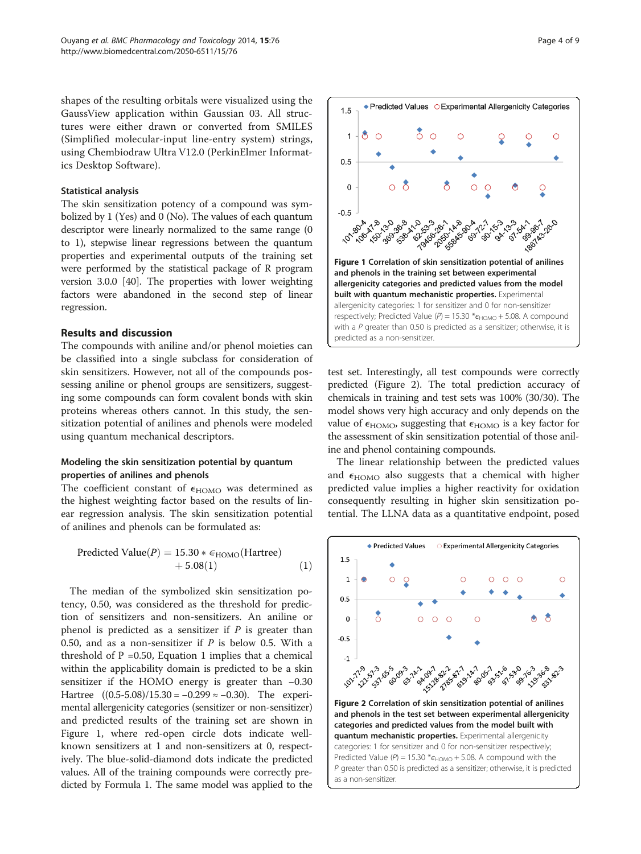shapes of the resulting orbitals were visualized using the GaussView application within Gaussian 03. All structures were either drawn or converted from SMILES (Simplified molecular-input line-entry system) strings, using Chembiodraw Ultra V12.0 (PerkinElmer Informatics Desktop Software).

#### Statistical analysis

The skin sensitization potency of a compound was symbolized by 1 (Yes) and 0 (No). The values of each quantum descriptor were linearly normalized to the same range (0 to 1), stepwise linear regressions between the quantum properties and experimental outputs of the training set were performed by the statistical package of R program version 3.0.0 [[40](#page-7-0)]. The properties with lower weighting factors were abandoned in the second step of linear regression.

#### Results and discussion

The compounds with aniline and/or phenol moieties can be classified into a single subclass for consideration of skin sensitizers. However, not all of the compounds possessing aniline or phenol groups are sensitizers, suggesting some compounds can form covalent bonds with skin proteins whereas others cannot. In this study, the sensitization potential of anilines and phenols were modeled using quantum mechanical descriptors.

#### Modeling the skin sensitization potential by quantum properties of anilines and phenols

The coefficient constant of  $\epsilon_{\text{HOMO}}$  was determined as the highest weighting factor based on the results of linear regression analysis. The skin sensitization potential of anilines and phenols can be formulated as:

Predicted Value(*P*) = 15.30 \* 
$$
\epsilon_{\text{HOMO}}(\text{Hartree})
$$
  
+ 5.08(1) (1)

The median of the symbolized skin sensitization potency, 0.50, was considered as the threshold for prediction of sensitizers and non-sensitizers. An aniline or phenol is predicted as a sensitizer if  $P$  is greater than 0.50, and as a non-sensitizer if  $P$  is below 0.5. With a threshold of  $P = 0.50$ , Equation 1 implies that a chemical within the applicability domain is predicted to be a skin sensitizer if the HOMO energy is greater than −0.30 Hartree  $((0.5-5.08)/15.30 = -0.299 \approx -0.30)$ . The experimental allergenicity categories (sensitizer or non-sensitizer) and predicted results of the training set are shown in Figure 1, where red-open circle dots indicate wellknown sensitizers at 1 and non-sensitizers at 0, respectively. The blue-solid-diamond dots indicate the predicted values. All of the training compounds were correctly predicted by Formula 1. The same model was applied to the



test set. Interestingly, all test compounds were correctly predicted (Figure 2). The total prediction accuracy of chemicals in training and test sets was 100% (30/30). The model shows very high accuracy and only depends on the value of  $\epsilon_{\text{HOMO}}$ , suggesting that  $\epsilon_{\text{HOMO}}$  is a key factor for the assessment of skin sensitization potential of those aniline and phenol containing compounds.

The linear relationship between the predicted values and  $\epsilon_{\text{HOMO}}$  also suggests that a chemical with higher predicted value implies a higher reactivity for oxidation consequently resulting in higher skin sensitization potential. The LLNA data as a quantitative endpoint, posed

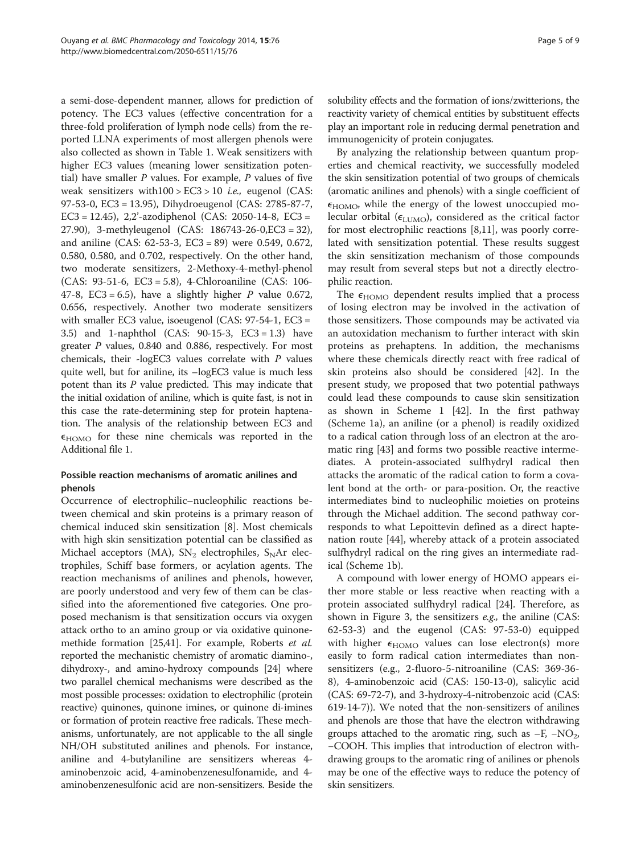a semi-dose-dependent manner, allows for prediction of potency. The EC3 values (effective concentration for a three-fold proliferation of lymph node cells) from the reported LLNA experiments of most allergen phenols were also collected as shown in Table [1](#page-2-0). Weak sensitizers with higher EC3 values (meaning lower sensitization potential) have smaller  $P$  values. For example,  $P$  values of five weak sensitizers with $100 > EC3 > 10$  *i.e.*, eugenol (CAS: 97-53-0, EC3 = 13.95), Dihydroeugenol (CAS: 2785-87-7, EC3 = 12.45), 2,2'-azodiphenol (CAS: 2050-14-8, EC3 = 27.90), 3-methyleugenol (CAS: 186743-26-0,EC3 = 32), and aniline (CAS: 62-53-3, EC3 = 89) were 0.549, 0.672, 0.580, 0.580, and 0.702, respectively. On the other hand, two moderate sensitizers, 2-Methoxy-4-methyl-phenol (CAS: 93-51-6, EC3 = 5.8), 4-Chloroaniline (CAS: 106- 47-8, EC3 = 6.5), have a slightly higher P value 0.672, 0.656, respectively. Another two moderate sensitizers with smaller EC3 value, isoeugenol (CAS: 97-54-1, EC3 = 3.5) and 1-naphthol (CAS: 90-15-3, EC3 = 1.3) have greater P values, 0.840 and 0.886, respectively. For most chemicals, their -logEC3 values correlate with P values quite well, but for aniline, its –logEC3 value is much less potent than its P value predicted. This may indicate that the initial oxidation of aniline, which is quite fast, is not in this case the rate-determining step for protein haptenation. The analysis of the relationship between EC3 and  $\epsilon_{\text{HOMO}}$  for these nine chemicals was reported in the Additional file [1](#page-6-0).

#### Possible reaction mechanisms of aromatic anilines and phenols

Occurrence of electrophilic–nucleophilic reactions between chemical and skin proteins is a primary reason of chemical induced skin sensitization [\[8](#page-7-0)]. Most chemicals with high skin sensitization potential can be classified as Michael acceptors (MA),  $SN_2$  electrophiles,  $S_N$ Ar electrophiles, Schiff base formers, or acylation agents. The reaction mechanisms of anilines and phenols, however, are poorly understood and very few of them can be classified into the aforementioned five categories. One proposed mechanism is that sensitization occurs via oxygen attack ortho to an amino group or via oxidative quinonemethide formation [\[25,](#page-7-0)[41](#page-8-0)]. For example, Roberts et al. reported the mechanistic chemistry of aromatic diamino-, dihydroxy-, and amino-hydroxy compounds [\[24](#page-7-0)] where two parallel chemical mechanisms were described as the most possible processes: oxidation to electrophilic (protein reactive) quinones, quinone imines, or quinone di-imines or formation of protein reactive free radicals. These mechanisms, unfortunately, are not applicable to the all single NH/OH substituted anilines and phenols. For instance, aniline and 4-butylaniline are sensitizers whereas 4 aminobenzoic acid, 4-aminobenzenesulfonamide, and 4 aminobenzenesulfonic acid are non-sensitizers. Beside the solubility effects and the formation of ions/zwitterions, the reactivity variety of chemical entities by substituent effects play an important role in reducing dermal penetration and immunogenicity of protein conjugates.

By analyzing the relationship between quantum properties and chemical reactivity, we successfully modeled the skin sensitization potential of two groups of chemicals (aromatic anilines and phenols) with a single coefficient of  $\epsilon_{HOMO}$ , while the energy of the lowest unoccupied molecular orbital ( $\epsilon_{\text{LUMO}}$ ), considered as the critical factor for most electrophilic reactions [\[8,11](#page-7-0)], was poorly correlated with sensitization potential. These results suggest the skin sensitization mechanism of those compounds may result from several steps but not a directly electrophilic reaction.

The  $\epsilon_{\text{HOMO}}$  dependent results implied that a process of losing electron may be involved in the activation of those sensitizers. Those compounds may be activated via an autoxidation mechanism to further interact with skin proteins as prehaptens. In addition, the mechanisms where these chemicals directly react with free radical of skin proteins also should be considered [\[42\]](#page-8-0). In the present study, we proposed that two potential pathways could lead these compounds to cause skin sensitization as shown in Scheme [1](#page-5-0) [\[42](#page-8-0)]. In the first pathway (Scheme [1](#page-5-0)a), an aniline (or a phenol) is readily oxidized to a radical cation through loss of an electron at the aromatic ring [\[43](#page-8-0)] and forms two possible reactive intermediates. A protein-associated sulfhydryl radical then attacks the aromatic of the radical cation to form a covalent bond at the orth- or para-position. Or, the reactive intermediates bind to nucleophilic moieties on proteins through the Michael addition. The second pathway corresponds to what Lepoittevin defined as a direct haptenation route [\[44\]](#page-8-0), whereby attack of a protein associated sulfhydryl radical on the ring gives an intermediate radical (Scheme [1](#page-5-0)b).

A compound with lower energy of HOMO appears either more stable or less reactive when reacting with a protein associated sulfhydryl radical [[24\]](#page-7-0). Therefore, as shown in Figure [3,](#page-5-0) the sensitizers e.g., the aniline (CAS: 62-53-3) and the eugenol (CAS: 97-53-0) equipped with higher  $\epsilon_{\text{HOMO}}$  values can lose electron(s) more easily to form radical cation intermediates than nonsensitizers (e.g., 2-fluoro-5-nitroaniline (CAS: 369-36- 8), 4-aminobenzoic acid (CAS: 150-13-0), salicylic acid (CAS: 69-72-7), and 3-hydroxy-4-nitrobenzoic acid (CAS: 619-14-7)). We noted that the non-sensitizers of anilines and phenols are those that have the electron withdrawing groups attached to the aromatic ring, such as  $-F$ ,  $-NO_2$ , −COOH. This implies that introduction of electron withdrawing groups to the aromatic ring of anilines or phenols may be one of the effective ways to reduce the potency of skin sensitizers.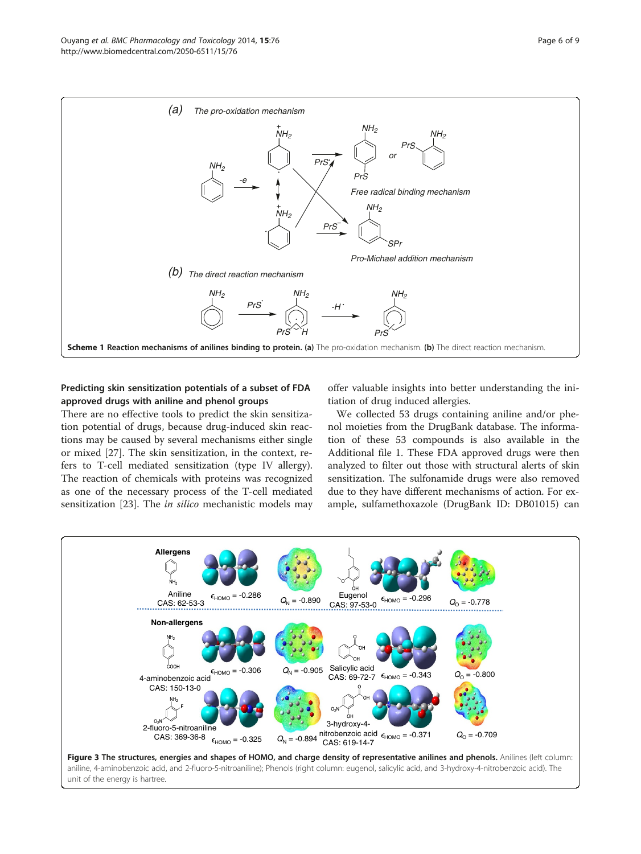<span id="page-5-0"></span>

#### Predicting skin sensitization potentials of a subset of FDA approved drugs with aniline and phenol groups

There are no effective tools to predict the skin sensitization potential of drugs, because drug-induced skin reactions may be caused by several mechanisms either single or mixed [[27](#page-7-0)]. The skin sensitization, in the context, refers to T-cell mediated sensitization (type IV allergy). The reaction of chemicals with proteins was recognized as one of the necessary process of the T-cell mediated sensitization [\[23](#page-7-0)]. The in silico mechanistic models may offer valuable insights into better understanding the initiation of drug induced allergies.

We collected 53 drugs containing aniline and/or phenol moieties from the DrugBank database. The information of these 53 compounds is also available in the Additional file [1.](#page-6-0) These FDA approved drugs were then analyzed to filter out those with structural alerts of skin sensitization. The sulfonamide drugs were also removed due to they have different mechanisms of action. For example, sulfamethoxazole (DrugBank ID: DB01015) can

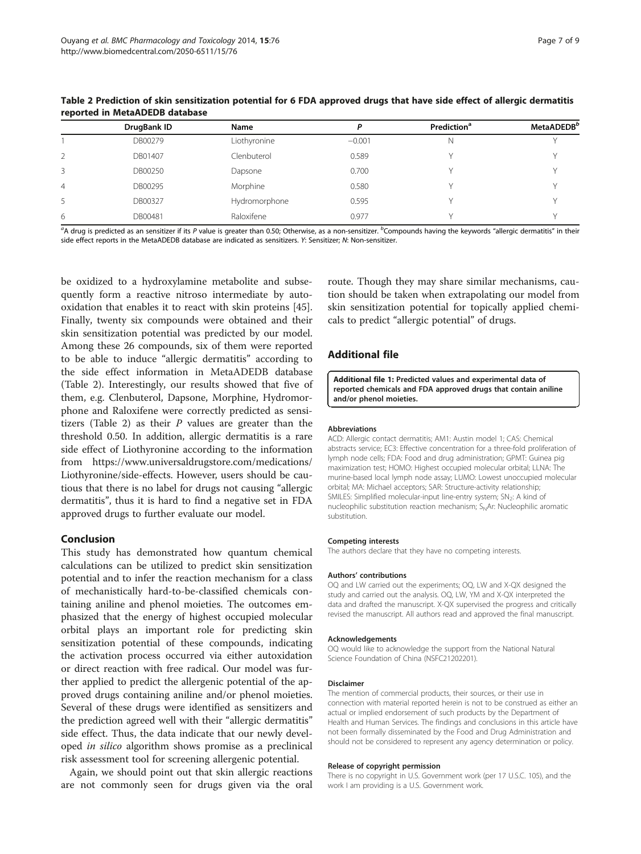|                | DrugBank ID | Name          |          | Prediction <sup>a</sup> | MetaADEDB <sup>b</sup> |
|----------------|-------------|---------------|----------|-------------------------|------------------------|
|                | DB00279     | Liothyronine  | $-0.001$ | Ν                       |                        |
| 2              | DB01407     | Clenbuterol   | 0.589    |                         |                        |
| 3              | DB00250     | Dapsone       | 0.700    |                         |                        |
| $\overline{4}$ | DB00295     | Morphine      | 0.580    |                         |                        |
| 5              | DB00327     | Hydromorphone | 0.595    |                         |                        |
| 6              | DB00481     | Raloxifene    | 0.977    |                         |                        |

<span id="page-6-0"></span>Table 2 Prediction of skin sensitization potential for 6 FDA approved drugs that have side effect of allergic dermatitis reported in MetaADEDB database

<sup>a</sup>A drug is predicted as an sensitizer if its P value is greater than 0.50; Otherwise, as a non-sensitizer. <sup>b</sup>Compounds having the keywords "allergic dermatitis" in theii side effect reports in the MetaADEDB database are indicated as sensitizers. Y: Sensitizer; N: Non-sensitizer.

be oxidized to a hydroxylamine metabolite and subsequently form a reactive nitroso intermediate by autooxidation that enables it to react with skin proteins [\[45](#page-8-0)]. Finally, twenty six compounds were obtained and their skin sensitization potential was predicted by our model. Among these 26 compounds, six of them were reported to be able to induce "allergic dermatitis" according to the side effect information in MetaADEDB database (Table 2). Interestingly, our results showed that five of them, e.g. Clenbuterol, Dapsone, Morphine, Hydromorphone and Raloxifene were correctly predicted as sensitizers (Table 2) as their  $P$  values are greater than the threshold 0.50. In addition, allergic dermatitis is a rare side effect of Liothyronine according to the information from [https://www.universaldrugstore.com/medications/](https://www.universaldrugstore.com/medications/Liothyronine/side-effects) [Liothyronine/side-effects.](https://www.universaldrugstore.com/medications/Liothyronine/side-effects) However, users should be cautious that there is no label for drugs not causing "allergic dermatitis", thus it is hard to find a negative set in FDA approved drugs to further evaluate our model.

#### Conclusion

This study has demonstrated how quantum chemical calculations can be utilized to predict skin sensitization potential and to infer the reaction mechanism for a class of mechanistically hard-to-be-classified chemicals containing aniline and phenol moieties. The outcomes emphasized that the energy of highest occupied molecular orbital plays an important role for predicting skin sensitization potential of these compounds, indicating the activation process occurred via either autoxidation or direct reaction with free radical. Our model was further applied to predict the allergenic potential of the approved drugs containing aniline and/or phenol moieties. Several of these drugs were identified as sensitizers and the prediction agreed well with their "allergic dermatitis" side effect. Thus, the data indicate that our newly developed in silico algorithm shows promise as a preclinical risk assessment tool for screening allergenic potential.

Again, we should point out that skin allergic reactions are not commonly seen for drugs given via the oral

route. Though they may share similar mechanisms, caution should be taken when extrapolating our model from skin sensitization potential for topically applied chemicals to predict "allergic potential" of drugs.

#### Additional file

[Additional file 1:](http://www.biomedcentral.com/content/supplementary/2050-6511-15-76-S1.docx) Predicted values and experimental data of reported chemicals and FDA approved drugs that contain aniline and/or phenol moieties.

#### Abbreviations

ACD: Allergic contact dermatitis; AM1: Austin model 1; CAS: Chemical abstracts service; EC3: Effective concentration for a three-fold proliferation of lymph node cells; FDA: Food and drug administration; GPMT: Guinea pig maximization test; HOMO: Highest occupied molecular orbital; LLNA: The murine-based local lymph node assay; LUMO: Lowest unoccupied molecular orbital; MA: Michael acceptors; SAR: Structure-activity relationship; SMILES: Simplified molecular-input line-entry system; SN<sub>2</sub>: A kind of nucleophilic substitution reaction mechanism; S<sub>N</sub>Ar: Nucleophilic aromatic substitution.

#### Competing interests

The authors declare that they have no competing interests.

#### Authors' contributions

OQ and LW carried out the experiments; OQ, LW and X-QX designed the study and carried out the analysis. OQ, LW, YM and X-QX interpreted the data and drafted the manuscript. X-QX supervised the progress and critically revised the manuscript. All authors read and approved the final manuscript.

#### Acknowledgements

OQ would like to acknowledge the support from the National Natural Science Foundation of China (NSFC21202201).

#### Disclaimer

The mention of commercial products, their sources, or their use in connection with material reported herein is not to be construed as either an actual or implied endorsement of such products by the Department of Health and Human Services. The findings and conclusions in this article have not been formally disseminated by the Food and Drug Administration and should not be considered to represent any agency determination or policy.

#### Release of copyright permission

There is no copyright in U.S. Government work (per 17 U.S.C. 105), and the work I am providing is a U.S. Government work.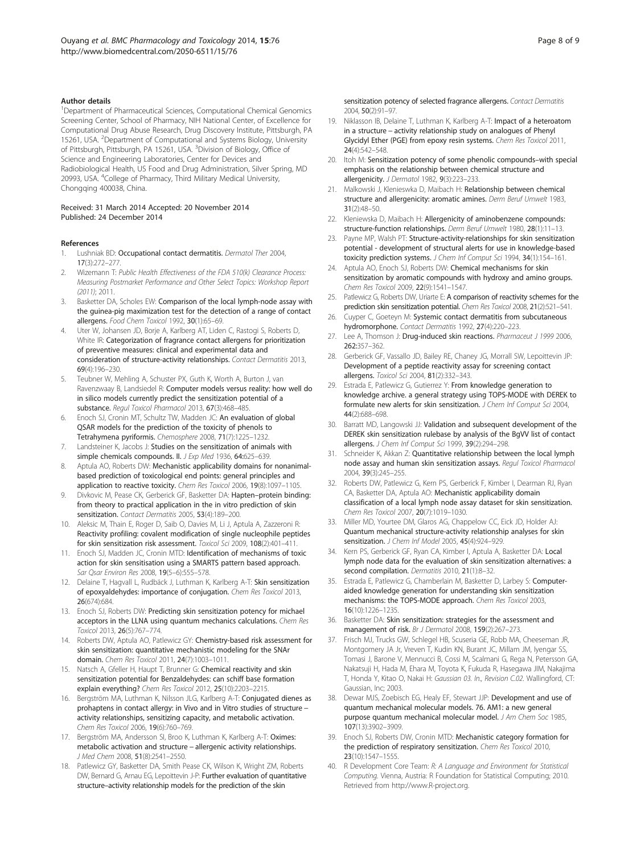#### <span id="page-7-0"></span>Author details

<sup>1</sup>Department of Pharmaceutical Sciences, Computational Chemical Genomics Screening Center, School of Pharmacy, NIH National Center, of Excellence for Computational Drug Abuse Research, Drug Discovery Institute, Pittsburgh, PA 15261, USA. <sup>2</sup> Department of Computational and Systems Biology, University of Pittsburgh, Pittsburgh, PA 15261, USA. <sup>3</sup>Division of Biology, Office of Science and Engineering Laboratories, Center for Devices and Radiobiological Health, US Food and Drug Administration, Silver Spring, MD 20993, USA. <sup>4</sup>College of Pharmacy, Third Military Medical University, Chongqing 400038, China.

#### Received: 31 March 2014 Accepted: 20 November 2014 Published: 24 December 2014

#### References

- 1. Lushniak BD: Occupational contact dermatitis. Dermatol Ther 2004, 17(3):272–277.
- Wizemann T: Public Health Effectiveness of the FDA 510(k) Clearance Process: Measuring Postmarket Performance and Other Select Topics: Workshop Report (2011); 2011.
- Basketter DA, Scholes EW: Comparison of the local lymph-node assay with the guinea-pig maximization test for the detection of a range of contact allergens. Food Chem Toxicol 1992, 30(1):65–69.
- 4. Uter W, Johansen JD, Borje A, Karlberg AT, Liden C, Rastogi S, Roberts D, White IR: Categorization of fragrance contact allergens for prioritization of preventive measures: clinical and experimental data and consideration of structure-activity relationships. Contact Dermatitis 2013, 69(4):196–230.
- 5. Teubner W, Mehling A, Schuster PX, Guth K, Worth A, Burton J, van Ravenzwaay B, Landsiedel R: Computer models versus reality: how well do in silico models currently predict the sensitization potential of a substance. Regul Toxicol Pharmacol 2013, 67(3):468–485.
- Enoch SJ, Cronin MT, Schultz TW, Madden JC: An evaluation of global QSAR models for the prediction of the toxicity of phenols to Tetrahymena pyriformis. Chemosphere 2008, 71(7):1225–1232.
- 7. Landsteiner K, Jacobs J: Studies on the sensitization of animals with simple chemicals compounds. II. J Exp Med 1936, 64:625-639.
- 8. Aptula AO, Roberts DW: Mechanistic applicability domains for nonanimalbased prediction of toxicological end points: general principles and application to reactive toxicity. Chem Res Toxicol 2006, 19(8):1097-1105.
- Divkovic M, Pease CK, Gerberick GF, Basketter DA: Hapten-protein binding: from theory to practical application in the in vitro prediction of skin sensitization. Contact Dermatitis 2005, 53(4):189-200.
- 10. Aleksic M, Thain E, Roger D, Saib O, Davies M, Li J, Aptula A, Zazzeroni R: Reactivity profiling: covalent modification of single nucleophile peptides for skin sensitization risk assessment. Toxicol Sci 2009, 108(2):401–411.
- 11. Enoch SJ, Madden JC, Cronin MTD: **Identification of mechanisms of toxic** action for skin sensitisation using a SMARTS pattern based approach. Sar Qsar Environ Res 2008, 19(5–6):555–578.
- 12. Delaine T, Hagvall L, Rudbäck J, Luthman K, Karlberg A-T: Skin sensitization of epoxyaldehydes: importance of conjugation. Chem Res Toxicol 2013, 26(674):684.
- 13. Enoch SJ, Roberts DW: Predicting skin sensitization potency for michael acceptors in the LLNA using quantum mechanics calculations. Chem Res Toxicol 2013, 26(5):767–774.
- 14. Roberts DW, Aptula AO, Patlewicz GY: Chemistry-based risk assessment for skin sensitization: quantitative mechanistic modeling for the SNAr domain. Chem Res Toxicol 2011, 24(7):1003–1011.
- 15. Natsch A, Gfeller H, Haupt T, Brunner G: Chemical reactivity and skin sensitization potential for Benzaldehydes: can schiff base formation explain everything? Chem Res Toxicol 2012, 25(10):2203–2215.
- 16. Bergström MA, Luthman K, Nilsson JLG, Karlberg A-T: Conjugated dienes as prohaptens in contact allergy: in Vivo and in Vitro studies of structure − activity relationships, sensitizing capacity, and metabolic activation. Chem Res Toxicol 2006, 19(6):760–769.
- 17. Bergström MA, Andersson SI, Broo K, Luthman K, Karlberg A-T: Oximes: metabolic activation and structure − allergenic activity relationships. J Med Chem 2008, 51(8):2541–2550.
- 18. Patlewicz GY, Basketter DA, Smith Pease CK, Wilson K, Wright ZM, Roberts DW, Bernard G, Arnau EG, Lepoittevin J-P: Further evaluation of quantitative structure–activity relationship models for the prediction of the skin

sensitization potency of selected fragrance allergens. Contact Dermatitis 2004, 50(2):91–97.

- 19. Niklasson IB, Delaine T, Luthman K, Karlberg A-T: Impact of a heteroatom in a structure − activity relationship study on analogues of Phenyl Glycidyl Ether (PGE) from epoxy resin systems. Chem Res Toxicol 2011, 24(4):542–548.
- 20. Itoh M: Sensitization potency of some phenolic compounds–with special emphasis on the relationship between chemical structure and allergenicity. J Dermatol 1982, 9(3):223–233.
- 21. Malkowski J, Klenieswka D, Maibach H: Relationship between chemical structure and allergenicity: aromatic amines. Derm Beruf Umwelt 1983, 31(2):48–50.
- 22. Kleniewska D, Maibach H: Allergenicity of aminobenzene compounds: structure-function relationships. Derm Beruf Umwelt 1980, 28(1):11-13.
- 23. Payne MP, Walsh PT: Structure-activity-relationships for skin sensitization potential - development of structural alerts for use in knowledge-based toxicity prediction systems. J Chem Inf Comput Sci 1994, 34(1):154-161.
- 24. Aptula AO, Enoch SJ, Roberts DW: Chemical mechanisms for skin sensitization by aromatic compounds with hydroxy and amino groups. Chem Res Toxicol 2009, 22(9):1541–1547.
- 25. Patlewicz G, Roberts DW, Uriarte E: A comparison of reactivity schemes for the prediction skin sensitization potential. Chem Res Toxicol 2008, 21(2):521-541.
- 26. Cuyper C, Goeteyn M: Systemic contact dermatitis from subcutaneous hydromorphone. Contact Dermatitis 1992, 27(4):220–223.
- 27. Lee A, Thomson J: Drug-induced skin reactions. Pharmaceut J 1999 2006, 262:357–362.
- 28. Gerberick GF, Vassallo JD, Bailey RE, Chaney JG, Morrall SW, Lepoittevin JP: Development of a peptide reactivity assay for screening contact allergens. Toxicol Sci 2004, 81(2):332–343.
- 29. Estrada E, Patlewicz G, Gutierrez Y: From knowledge generation to knowledge archive. a general strategy using TOPS-MODE with DEREK to formulate new alerts for skin sensitization. J Chem Inf Comput Sci 2004, 44(2):688–698.
- 30. Barratt MD, Langowski JJ: Validation and subsequent development of the DEREK skin sensitization rulebase by analysis of the BgVV list of contact allergens. J Chem Inf Comput Sci 1999, 39(2):294–298.
- 31. Schneider K, Akkan Z: Quantitative relationship between the local lymph node assay and human skin sensitization assays. Regul Toxicol Pharmacol 2004, 39(3):245–255.
- 32. Roberts DW, Patlewicz G, Kern PS, Gerberick F, Kimber I, Dearman RJ, Ryan CA, Basketter DA, Aptula AO: Mechanistic applicability domain classification of a local lymph node assay dataset for skin sensitization. Chem Res Toxicol 2007, 20(7):1019–1030.
- 33. Miller MD, Yourtee DM, Glaros AG, Chappelow CC, Eick JD, Holder AJ: Quantum mechanical structure-activity relationship analyses for skin sensitization. J Chem Inf Model 2005, 45(4):924-929.
- 34. Kern PS, Gerberick GF, Ryan CA, Kimber I, Aptula A, Basketter DA: Local lymph node data for the evaluation of skin sensitization alternatives: a second compilation. Dermatitis 2010, 21(1):8-32.
- 35. Estrada E, Patlewicz G, Chamberlain M, Basketter D, Larbey S: Computeraided knowledge generation for understanding skin sensitization mechanisms: the TOPS-MODE approach. Chem Res Toxicol 2003, 16(10):1226–1235.
- Basketter DA: Skin sensitization: strategies for the assessment and management of risk. Br J Dermatol 2008, 159(2):267-273.
- 37. Frisch MJ, Trucks GW, Schlegel HB, Scuseria GE, Robb MA, Cheeseman JR, Montgomery JA Jr, Vreven T, Kudin KN, Burant JC, Millam JM, Iyengar SS, Tomasi J, Barone V, Mennucci B, Cossi M, Scalmani G, Rega N, Petersson GA, Nakatsuji H, Hada M, Ehara M, Toyota K, Fukuda R, Hasegawa JIM, Nakajima T, Honda Y, Kitao O, Nakai H: Gaussian 03. In., Revision C.02. Wallingford, CT: Gaussian, Inc; 2003.
- 38. Dewar MJS, Zoebisch EG, Healy EF, Stewart JJP: Development and use of quantum mechanical molecular models. 76. AM1: a new general purpose quantum mechanical molecular model. J Am Chem Soc 1985, 107(13):3902–3909.
- 39. Enoch SJ, Roberts DW, Cronin MTD: Mechanistic category formation for the prediction of respiratory sensitization. Chem Res Toxicol 2010, 23(10):1547–1555.
- 40. R Development Core Team: R: A Language and Environment for Statistical Computing. Vienna, Austria: R Foundation for Statistical Computing; 2010. Retrieved from [http://www.R-project.org](http://www.R-project.org/).